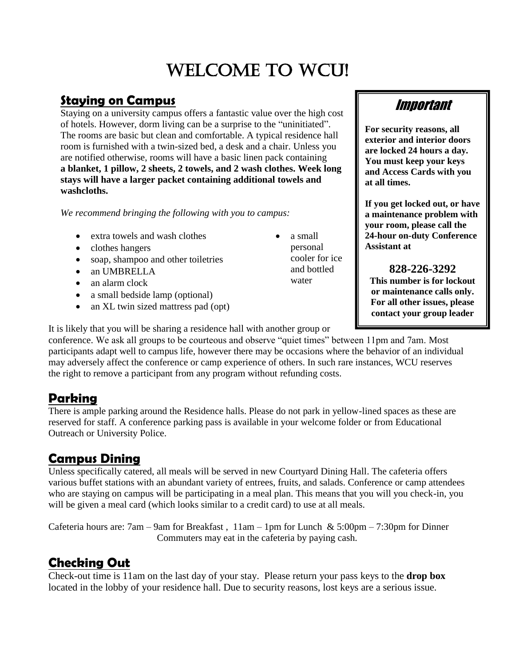# Welcome to WCU!

#### **Staying on Campus**

Staying on a university campus offers a fantastic value over the high cost of hotels. However, dorm living can be a surprise to the "uninitiated". The rooms are basic but clean and comfortable. A typical residence hall room is furnished with a twin-sized bed, a desk and a chair. Unless you are notified otherwise, rooms will have a basic linen pack containing **a blanket, 1 pillow, 2 sheets, 2 towels, and 2 wash clothes. Week long stays will have a larger packet containing additional towels and washcloths.**

*We recommend bringing the following with you to campus:*

- extra towels and wash clothes
- clothes hangers
- soap, shampoo and other toiletries
- an UMBRELLA
- an alarm clock
- a small bedside lamp (optional)
- an XL twin sized mattress pad (opt)

It is likely that you will be sharing a residence hall with another group or

conference. We ask all groups to be courteous and observe "quiet times" between 11pm and 7am. Most participants adapt well to campus life, however there may be occasions where the behavior of an individual may adversely affect the conference or camp experience of others. In such rare instances, WCU reserves the right to remove a participant from any program without refunding costs.

## **Parking**

There is ample parking around the Residence halls. Please do not park in yellow-lined spaces as these are reserved for staff. A conference parking pass is available in your welcome folder or from Educational Outreach or University Police.

#### **Campus Dining**

Unless specifically catered, all meals will be served in new Courtyard Dining Hall. The cafeteria offers various buffet stations with an abundant variety of entrees, fruits, and salads. Conference or camp attendees who are staying on campus will be participating in a meal plan. This means that you will you check-in, you will be given a meal card (which looks similar to a credit card) to use at all meals.

Cafeteria hours are: 7am – 9am for Breakfast,  $11$ am – 1pm for Lunch & 5:00pm – 7:30pm for Dinner Commuters may eat in the cafeteria by paying cash.

## **Checking Out**

Check-out time is 11am on the last day of your stay. Please return your pass keys to the **drop box** located in the lobby of your residence hall. Due to security reasons, lost keys are a serious issue.

Important

**For security reasons, all exterior and interior doors are locked 24 hours a day. You must keep your keys and Access Cards with you at all times.**

**If you get locked out, or have a maintenance problem with your room, please call the 24-hour on-duty Conference Assistant at** 

**828-226-3292 This number is for lockout or maintenance calls only. For all other issues, please contact your group leader**

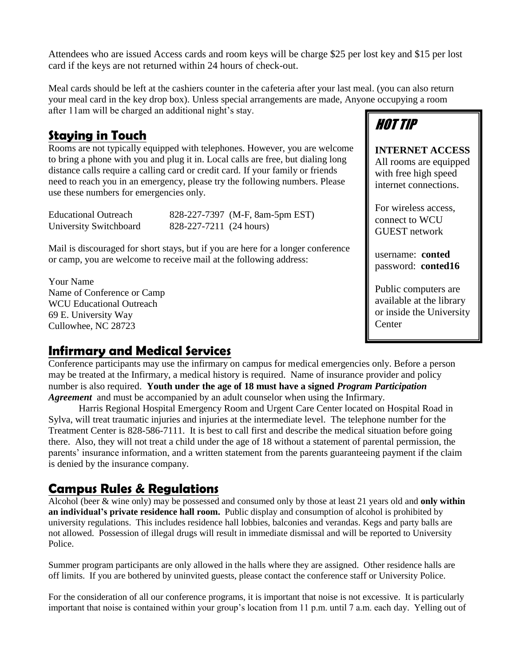Attendees who are issued Access cards and room keys will be charge \$25 per lost key and \$15 per lost card if the keys are not returned within 24 hours of check-out.

Meal cards should be left at the cashiers counter in the cafeteria after your last meal. (you can also return your meal card in the key drop box). Unless special arrangements are made, Anyone occupying a room after 11am will be charged an additional night's stay.

#### **Staying in Touch**

Rooms are not typically equipped with telephones. However, you are welcome to bring a phone with you and plug it in. Local calls are free, but dialing long distance calls require a calling card or credit card. If your family or friends need to reach you in an emergency, please try the following numbers. Please use these numbers for emergencies only.

Educational Outreach 828-227-7397 (M-F, 8am-5pm EST) University Switchboard 828-227-7211 (24 hours)

Mail is discouraged for short stays, but if you are here for a longer conference or camp, you are welcome to receive mail at the following address:

Your Name Name of Conference or Camp WCU Educational Outreach 69 E. University Way Cullowhee, NC 28723

# HOT TIP

**INTERNET ACCESS** All rooms are equipped with free high speed internet connections.

For wireless access, connect to WCU GUEST network

username: **conted** password: **conted16**

Public computers are available at the library or inside the University **Center** 

#### **Infirmary and Medical Services**

Conference participants may use the infirmary on campus for medical emergencies only. Before a person may be treated at the Infirmary, a medical history is required. Name of insurance provider and policy number is also required. **Youth under the age of 18 must have a signed** *Program Participation Agreement* and must be accompanied by an adult counselor when using the Infirmary.

Harris Regional Hospital Emergency Room and Urgent Care Center located on Hospital Road in Sylva, will treat traumatic injuries and injuries at the intermediate level. The telephone number for the Treatment Center is 828-586-7111. It is best to call first and describe the medical situation before going there. Also, they will not treat a child under the age of 18 without a statement of parental permission, the parents' insurance information, and a written statement from the parents guaranteeing payment if the claim is denied by the insurance company.

#### **Campus Rules & Regulations**

Alcohol (beer & wine only) may be possessed and consumed only by those at least 21 years old and **only within an individual's private residence hall room.** Public display and consumption of alcohol is prohibited by university regulations. This includes residence hall lobbies, balconies and verandas. Kegs and party balls are not allowed. Possession of illegal drugs will result in immediate dismissal and will be reported to University Police.

Summer program participants are only allowed in the halls where they are assigned. Other residence halls are off limits. If you are bothered by uninvited guests, please contact the conference staff or University Police.

For the consideration of all our conference programs, it is important that noise is not excessive. It is particularly important that noise is contained within your group's location from 11 p.m. until 7 a.m. each day. Yelling out of